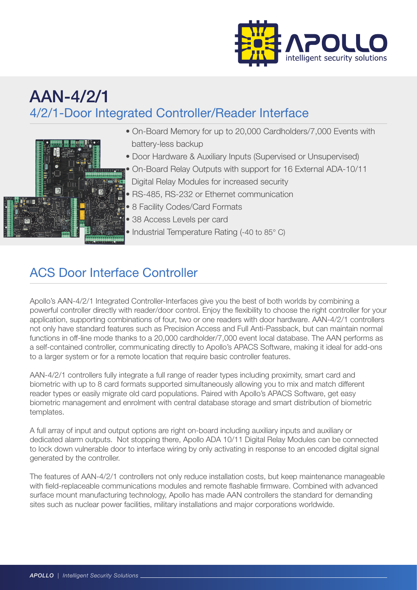

## AAN-4/2/1 4/2/1-Door Integrated Controller/Reader Interface



- On-Board Memory for up to 20,000 Cardholders/7,000 Events with battery-less backup
- Door Hardware & Auxiliary Inputs (Supervised or Unsupervised)
- On-Board Relay Outputs with support for 16 External ADA-10/11
- Digital Relay Modules for increased security
- RS-485, RS-232 or Ethernet communication
- 8 Facility Codes/Card Formats
- 38 Access Levels per card
- Industrial Temperature Rating (-40 to 85° C)

## ACS Door Interface Controller

Apollo's AAN-4/2/1 Integrated Controller-Interfaces give you the best of both worlds by combining a powerful controller directly with reader/door control. Enjoy the flexibility to choose the right controller for your application, supporting combinations of four, two or one readers with door hardware. AAN-4/2/1 controllers not only have standard features such as Precision Access and Full Anti-Passback, but can maintain normal functions in off-line mode thanks to a 20,000 cardholder/7,000 event local database. The AAN performs as a self-contained controller, communicating directly to Apollo's APACS Software, making it ideal for add-ons to a larger system or for a remote location that require basic controller features.

AAN-4/2/1 controllers fully integrate a full range of reader types including proximity, smart card and biometric with up to 8 card formats supported simultaneously allowing you to mix and match different reader types or easily migrate old card populations. Paired with Apollo's APACS Software, get easy biometric management and enrolment with central database storage and smart distribution of biometric templates.

A full array of input and output options are right on-board including auxiliary inputs and auxiliary or dedicated alarm outputs. Not stopping there, Apollo ADA 10/11 Digital Relay Modules can be connected to lock down vulnerable door to interface wiring by only activating in response to an encoded digital signal generated by the controller.

The features of AAN-4/2/1 controllers not only reduce installation costs, but keep maintenance manageable with field-replaceable communications modules and remote flashable firmware. Combined with advanced surface mount manufacturing technology, Apollo has made AAN controllers the standard for demanding sites such as nuclear power facilities, military installations and major corporations worldwide.